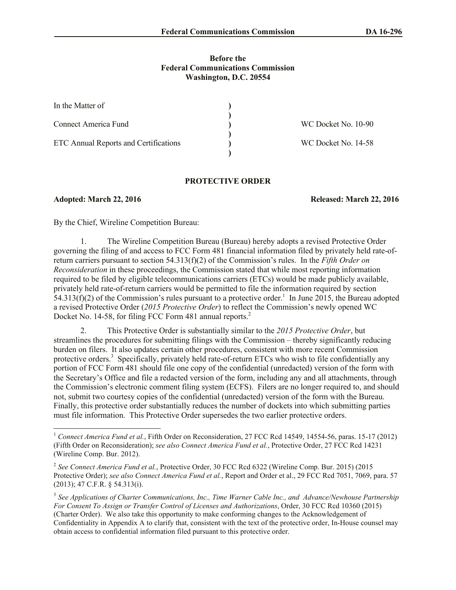### **Before the Federal Communications Commission Washington, D.C. 20554**

| In the Matter of                      |                     |
|---------------------------------------|---------------------|
|                                       |                     |
| <b>Connect America Fund</b>           | WC Docket No. 10-90 |
|                                       |                     |
| ETC Annual Reports and Certifications | WC Docket No. 14-58 |
|                                       |                     |

### **PROTECTIVE ORDER**

### **Adopted: March 22, 2016 Released: March 22, 2016**

 $\overline{\phantom{a}}$ 

By the Chief, Wireline Competition Bureau:

1. The Wireline Competition Bureau (Bureau) hereby adopts a revised Protective Order governing the filing of and access to FCC Form 481 financial information filed by privately held rate-ofreturn carriers pursuant to section 54.313(f)(2) of the Commission's rules. In the *Fifth Order on Reconsideration* in these proceedings, the Commission stated that while most reporting information required to be filed by eligible telecommunications carriers (ETCs) would be made publicly available, privately held rate-of-return carriers would be permitted to file the information required by section  $54.313(f)(2)$  of the Commission's rules pursuant to a protective order.<sup>1</sup> In June 2015, the Bureau adopted a revised Protective Order (*2015 Protective Order*) to reflect the Commission's newly opened WC Docket No. 14-58, for filing FCC Form 481 annual reports.<sup>2</sup>

2. This Protective Order is substantially similar to the *2015 Protective Order*, but streamlines the procedures for submitting filings with the Commission – thereby significantly reducing burden on filers. It also updates certain other procedures, consistent with more recent Commission protective orders.<sup>3</sup> Specifically, privately held rate-of-return ETCs who wish to file confidentially any portion of FCC Form 481 should file one copy of the confidential (unredacted) version of the form with the Secretary's Office and file a redacted version of the form, including any and all attachments, through the Commission's electronic comment filing system (ECFS). Filers are no longer required to, and should not, submit two courtesy copies of the confidential (unredacted) version of the form with the Bureau. Finally, this protective order substantially reduces the number of dockets into which submitting parties must file information. This Protective Order supersedes the two earlier protective orders.

<sup>1</sup> *Connect America Fund et al.*, Fifth Order on Reconsideration, 27 FCC Rcd 14549, 14554-56, paras. 15-17 (2012) (Fifth Order on Reconsideration); *see also Connect America Fund et al.*, Protective Order, 27 FCC Rcd 14231 (Wireline Comp. Bur. 2012).

<sup>2</sup> *See Connect America Fund et al.*, Protective Order, 30 FCC Rcd 6322 (Wireline Comp. Bur. 2015) (2015 Protective Order); *see also Connect America Fund et al.*, Report and Order et al., 29 FCC Rcd 7051, 7069, para. 57 (2013); 47 C.F.R. § 54.313(i).

<sup>3</sup> *See Applications of Charter Communications, Inc., Time Warner Cable Inc., and Advance/Newhouse Partnership For Consent To Assign or Transfer Control of Licenses and Authorizations*, Order, 30 FCC Rcd 10360 (2015) (Charter Order). We also take this opportunity to make conforming changes to the Acknowledgement of Confidentiality in Appendix A to clarify that, consistent with the text of the protective order, In-House counsel may obtain access to confidential information filed pursuant to this protective order.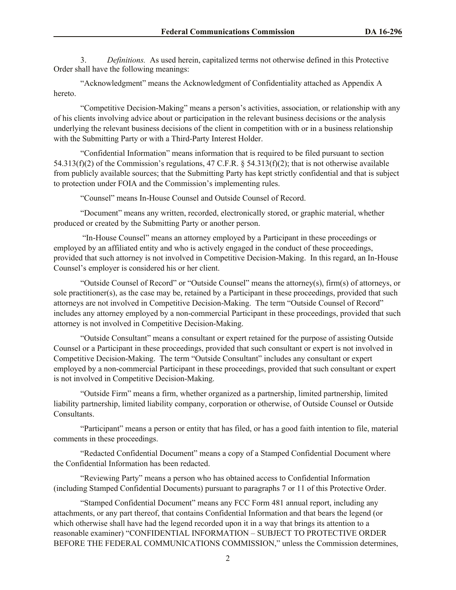3. *Definitions.* As used herein, capitalized terms not otherwise defined in this Protective Order shall have the following meanings:

"Acknowledgment" means the Acknowledgment of Confidentiality attached as Appendix A hereto.

"Competitive Decision-Making" means a person's activities, association, or relationship with any of his clients involving advice about or participation in the relevant business decisions or the analysis underlying the relevant business decisions of the client in competition with or in a business relationship with the Submitting Party or with a Third-Party Interest Holder.

"Confidential Information" means information that is required to be filed pursuant to section 54.313(f)(2) of the Commission's regulations, 47 C.F.R. § 54.313(f)(2); that is not otherwise available from publicly available sources; that the Submitting Party has kept strictly confidential and that is subject to protection under FOIA and the Commission's implementing rules.

"Counsel" means In-House Counsel and Outside Counsel of Record.

"Document" means any written, recorded, electronically stored, or graphic material, whether produced or created by the Submitting Party or another person.

"In-House Counsel" means an attorney employed by a Participant in these proceedings or employed by an affiliated entity and who is actively engaged in the conduct of these proceedings, provided that such attorney is not involved in Competitive Decision-Making. In this regard, an In-House Counsel's employer is considered his or her client.

"Outside Counsel of Record" or "Outside Counsel" means the attorney(s), firm(s) of attorneys, or sole practitioner(s), as the case may be, retained by a Participant in these proceedings, provided that such attorneys are not involved in Competitive Decision-Making. The term "Outside Counsel of Record" includes any attorney employed by a non-commercial Participant in these proceedings, provided that such attorney is not involved in Competitive Decision-Making.

"Outside Consultant" means a consultant or expert retained for the purpose of assisting Outside Counsel or a Participant in these proceedings, provided that such consultant or expert is not involved in Competitive Decision-Making. The term "Outside Consultant" includes any consultant or expert employed by a non-commercial Participant in these proceedings, provided that such consultant or expert is not involved in Competitive Decision-Making.

"Outside Firm" means a firm, whether organized as a partnership, limited partnership, limited liability partnership, limited liability company, corporation or otherwise, of Outside Counsel or Outside Consultants.

"Participant" means a person or entity that has filed, or has a good faith intention to file, material comments in these proceedings.

"Redacted Confidential Document" means a copy of a Stamped Confidential Document where the Confidential Information has been redacted.

"Reviewing Party" means a person who has obtained access to Confidential Information (including Stamped Confidential Documents) pursuant to paragraphs 7 or 11 of this Protective Order.

"Stamped Confidential Document" means any FCC Form 481 annual report, including any attachments, or any part thereof, that contains Confidential Information and that bears the legend (or which otherwise shall have had the legend recorded upon it in a way that brings its attention to a reasonable examiner) "CONFIDENTIAL INFORMATION – SUBJECT TO PROTECTIVE ORDER BEFORE THE FEDERAL COMMUNICATIONS COMMISSION," unless the Commission determines,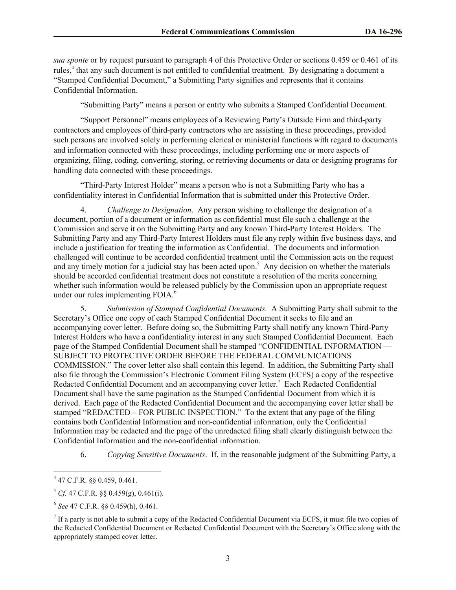*sua sponte* or by request pursuant to paragraph 4 of this Protective Order or sections 0.459 or 0.461 of its rules,<sup>4</sup> that any such document is not entitled to confidential treatment. By designating a document a "Stamped Confidential Document," a Submitting Party signifies and represents that it contains Confidential Information.

"Submitting Party" means a person or entity who submits a Stamped Confidential Document.

"Support Personnel" means employees of a Reviewing Party's Outside Firm and third-party contractors and employees of third-party contractors who are assisting in these proceedings, provided such persons are involved solely in performing clerical or ministerial functions with regard to documents and information connected with these proceedings, including performing one or more aspects of organizing, filing, coding, converting, storing, or retrieving documents or data or designing programs for handling data connected with these proceedings.

"Third-Party Interest Holder" means a person who is not a Submitting Party who has a confidentiality interest in Confidential Information that is submitted under this Protective Order.

4. *Challenge to Designation*. Any person wishing to challenge the designation of a document, portion of a document or information as confidential must file such a challenge at the Commission and serve it on the Submitting Party and any known Third-Party Interest Holders. The Submitting Party and any Third-Party Interest Holders must file any reply within five business days, and include a justification for treating the information as Confidential. The documents and information challenged will continue to be accorded confidential treatment until the Commission acts on the request and any timely motion for a judicial stay has been acted upon.<sup>5</sup> Any decision on whether the materials should be accorded confidential treatment does not constitute a resolution of the merits concerning whether such information would be released publicly by the Commission upon an appropriate request under our rules implementing FOIA.<sup>6</sup>

5. *Submission of Stamped Confidential Documents.* A Submitting Party shall submit to the Secretary's Office one copy of each Stamped Confidential Document it seeks to file and an accompanying cover letter. Before doing so, the Submitting Party shall notify any known Third-Party Interest Holders who have a confidentiality interest in any such Stamped Confidential Document. Each page of the Stamped Confidential Document shall be stamped "CONFIDENTIAL INFORMATION –– SUBJECT TO PROTECTIVE ORDER BEFORE THE FEDERAL COMMUNICATIONS COMMISSION." The cover letter also shall contain this legend. In addition, the Submitting Party shall also file through the Commission's Electronic Comment Filing System (ECFS) a copy of the respective Redacted Confidential Document and an accompanying cover letter.<sup>7</sup> Each Redacted Confidential Document shall have the same pagination as the Stamped Confidential Document from which it is derived. Each page of the Redacted Confidential Document and the accompanying cover letter shall be stamped "REDACTED – FOR PUBLIC INSPECTION." To the extent that any page of the filing contains both Confidential Information and non-confidential information, only the Confidential Information may be redacted and the page of the unredacted filing shall clearly distinguish between the Confidential Information and the non-confidential information.

6. *Copying Sensitive Documents*. If, in the reasonable judgment of the Submitting Party, a

 4 47 C.F.R. §§ 0.459, 0.461.

 $5 \text{ } Cf.$  47 C.F.R. §§ 0.459(g), 0.461(i).

<sup>6</sup> *See* 47 C.F.R. §§ 0.459(h), 0.461.

 $<sup>7</sup>$  If a party is not able to submit a copy of the Redacted Confidential Document via ECFS, it must file two copies of</sup> the Redacted Confidential Document or Redacted Confidential Document with the Secretary's Office along with the appropriately stamped cover letter.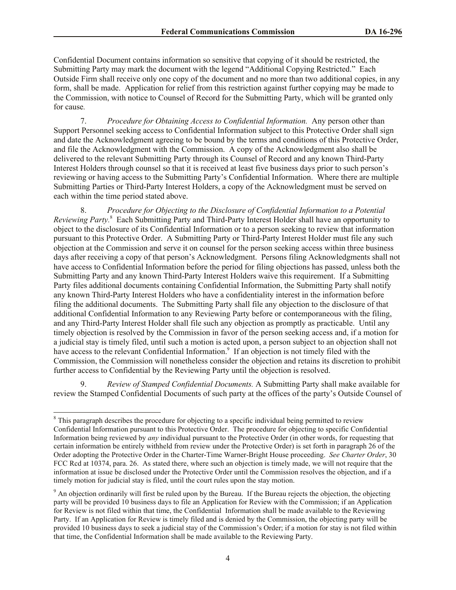Confidential Document contains information so sensitive that copying of it should be restricted, the Submitting Party may mark the document with the legend "Additional Copying Restricted." Each Outside Firm shall receive only one copy of the document and no more than two additional copies, in any form, shall be made. Application for relief from this restriction against further copying may be made to the Commission, with notice to Counsel of Record for the Submitting Party, which will be granted only for cause*.*

7. *Procedure for Obtaining Access to Confidential Information.* Any person other than Support Personnel seeking access to Confidential Information subject to this Protective Order shall sign and date the Acknowledgment agreeing to be bound by the terms and conditions of this Protective Order, and file the Acknowledgment with the Commission. A copy of the Acknowledgment also shall be delivered to the relevant Submitting Party through its Counsel of Record and any known Third-Party Interest Holders through counsel so that it is received at least five business days prior to such person's reviewing or having access to the Submitting Party's Confidential Information. Where there are multiple Submitting Parties or Third-Party Interest Holders, a copy of the Acknowledgment must be served on each within the time period stated above.

8. *Procedure for Objecting to the Disclosure of Confidential Information to a Potential*  Reviewing Party.<sup>8</sup> Each Submitting Party and Third-Party Interest Holder shall have an opportunity to object to the disclosure of its Confidential Information or to a person seeking to review that information pursuant to this Protective Order. A Submitting Party or Third-Party Interest Holder must file any such objection at the Commission and serve it on counsel for the person seeking access within three business days after receiving a copy of that person's Acknowledgment. Persons filing Acknowledgments shall not have access to Confidential Information before the period for filing objections has passed, unless both the Submitting Party and any known Third-Party Interest Holders waive this requirement. If a Submitting Party files additional documents containing Confidential Information, the Submitting Party shall notify any known Third-Party Interest Holders who have a confidentiality interest in the information before filing the additional documents. The Submitting Party shall file any objection to the disclosure of that additional Confidential Information to any Reviewing Party before or contemporaneous with the filing, and any Third-Party Interest Holder shall file such any objection as promptly as practicable. Until any timely objection is resolved by the Commission in favor of the person seeking access and, if a motion for a judicial stay is timely filed, until such a motion is acted upon, a person subject to an objection shall not have access to the relevant Confidential Information.<sup>9</sup> If an objection is not timely filed with the Commission, the Commission will nonetheless consider the objection and retains its discretion to prohibit further access to Confidential by the Reviewing Party until the objection is resolved.

9. *Review of Stamped Confidential Documents.* A Submitting Party shall make available for review the Stamped Confidential Documents of such party at the offices of the party's Outside Counsel of

l

 $8$  This paragraph describes the procedure for objecting to a specific individual being permitted to review Confidential Information pursuant to this Protective Order. The procedure for objecting to specific Confidential Information being reviewed by *any* individual pursuant to the Protective Order (in other words, for requesting that certain information be entirely withheld from review under the Protective Order) is set forth in paragraph 26 of the Order adopting the Protective Order in the Charter-Time Warner-Bright House proceeding. *See Charter Order*, 30 FCC Rcd at 10374, para. 26. As stated there, where such an objection is timely made, we will not require that the information at issue be disclosed under the Protective Order until the Commission resolves the objection, and if a timely motion for judicial stay is filed, until the court rules upon the stay motion.

<sup>&</sup>lt;sup>9</sup> An objection ordinarily will first be ruled upon by the Bureau. If the Bureau rejects the objection, the objecting party will be provided 10 business days to file an Application for Review with the Commission; if an Application for Review is not filed within that time, the Confidential Information shall be made available to the Reviewing Party. If an Application for Review is timely filed and is denied by the Commission, the objecting party will be provided 10 business days to seek a judicial stay of the Commission's Order; if a motion for stay is not filed within that time, the Confidential Information shall be made available to the Reviewing Party.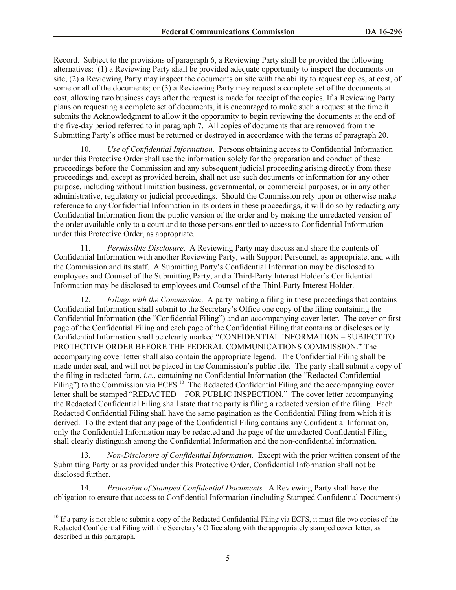Record. Subject to the provisions of paragraph 6, a Reviewing Party shall be provided the following alternatives: (1) a Reviewing Party shall be provided adequate opportunity to inspect the documents on site; (2) a Reviewing Party may inspect the documents on site with the ability to request copies, at cost, of some or all of the documents; or (3) a Reviewing Party may request a complete set of the documents at cost, allowing two business days after the request is made for receipt of the copies. If a Reviewing Party plans on requesting a complete set of documents, it is encouraged to make such a request at the time it submits the Acknowledgment to allow it the opportunity to begin reviewing the documents at the end of the five-day period referred to in paragraph 7. All copies of documents that are removed from the Submitting Party's office must be returned or destroyed in accordance with the terms of paragraph 20.

10. *Use of Confidential Information*. Persons obtaining access to Confidential Information under this Protective Order shall use the information solely for the preparation and conduct of these proceedings before the Commission and any subsequent judicial proceeding arising directly from these proceedings and, except as provided herein, shall not use such documents or information for any other purpose, including without limitation business, governmental, or commercial purposes, or in any other administrative, regulatory or judicial proceedings. Should the Commission rely upon or otherwise make reference to any Confidential Information in its orders in these proceedings, it will do so by redacting any Confidential Information from the public version of the order and by making the unredacted version of the order available only to a court and to those persons entitled to access to Confidential Information under this Protective Order, as appropriate.

11. *Permissible Disclosure*. A Reviewing Party may discuss and share the contents of Confidential Information with another Reviewing Party, with Support Personnel, as appropriate, and with the Commission and its staff. A Submitting Party's Confidential Information may be disclosed to employees and Counsel of the Submitting Party, and a Third-Party Interest Holder's Confidential Information may be disclosed to employees and Counsel of the Third-Party Interest Holder.

12. *Filings with the Commission*. A party making a filing in these proceedings that contains Confidential Information shall submit to the Secretary's Office one copy of the filing containing the Confidential Information (the "Confidential Filing") and an accompanying cover letter. The cover or first page of the Confidential Filing and each page of the Confidential Filing that contains or discloses only Confidential Information shall be clearly marked "CONFIDENTIAL INFORMATION – SUBJECT TO PROTECTIVE ORDER BEFORE THE FEDERAL COMMUNICATIONS COMMISSION." The accompanying cover letter shall also contain the appropriate legend. The Confidential Filing shall be made under seal, and will not be placed in the Commission's public file. The party shall submit a copy of the filing in redacted form, *i.e.*, containing no Confidential Information (the "Redacted Confidential Filing") to the Commission via ECFS.<sup>10</sup> The Redacted Confidential Filing and the accompanying cover letter shall be stamped "REDACTED – FOR PUBLIC INSPECTION." The cover letter accompanying the Redacted Confidential Filing shall state that the party is filing a redacted version of the filing. Each Redacted Confidential Filing shall have the same pagination as the Confidential Filing from which it is derived. To the extent that any page of the Confidential Filing contains any Confidential Information, only the Confidential Information may be redacted and the page of the unredacted Confidential Filing shall clearly distinguish among the Confidential Information and the non-confidential information.

13. *Non-Disclosure of Confidential Information.* Except with the prior written consent of the Submitting Party or as provided under this Protective Order, Confidential Information shall not be disclosed further.

14. *Protection of Stamped Confidential Documents.* A Reviewing Party shall have the obligation to ensure that access to Confidential Information (including Stamped Confidential Documents)

 $\overline{\phantom{a}}$ 

 $10$  If a party is not able to submit a copy of the Redacted Confidential Filing via ECFS, it must file two copies of the Redacted Confidential Filing with the Secretary's Office along with the appropriately stamped cover letter, as described in this paragraph.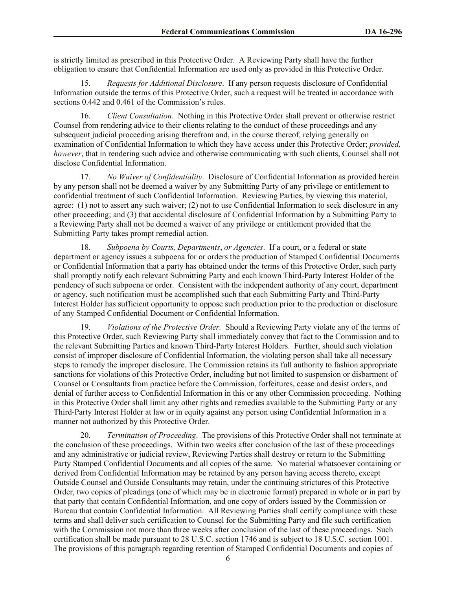is strictly limited as prescribed in this Protective Order. A Reviewing Party shall have the further obligation to ensure that Confidential Information are used only as provided in this Protective Order.

15. *Requests for Additional Disclosure*. If any person requests disclosure of Confidential Information outside the terms of this Protective Order, such a request will be treated in accordance with sections 0.442 and 0.461 of the Commission's rules.

16. *Client Consultation*. Nothing in this Protective Order shall prevent or otherwise restrict Counsel from rendering advice to their clients relating to the conduct of these proceedings and any subsequent judicial proceeding arising therefrom and, in the course thereof, relying generally on examination of Confidential Information to which they have access under this Protective Order; *provided, however*, that in rendering such advice and otherwise communicating with such clients, Counsel shall not disclose Confidential Information.

17. *No Waiver of Confidentiality*. Disclosure of Confidential Information as provided herein by any person shall not be deemed a waiver by any Submitting Party of any privilege or entitlement to confidential treatment of such Confidential Information. Reviewing Parties, by viewing this material, agree: (1) not to assert any such waiver; (2) not to use Confidential Information to seek disclosure in any other proceeding; and (3) that accidental disclosure of Confidential Information by a Submitting Party to a Reviewing Party shall not be deemed a waiver of any privilege or entitlement provided that the Submitting Party takes prompt remedial action.

18. *Subpoena by Courts, Departments*, *or Agencies*. If a court, or a federal or state department or agency issues a subpoena for or orders the production of Stamped Confidential Documents or Confidential Information that a party has obtained under the terms of this Protective Order, such party shall promptly notify each relevant Submitting Party and each known Third-Party Interest Holder of the pendency of such subpoena or order. Consistent with the independent authority of any court, department or agency, such notification must be accomplished such that each Submitting Party and Third-Party Interest Holder has sufficient opportunity to oppose such production prior to the production or disclosure of any Stamped Confidential Document or Confidential Information.

19. *Violations of the Protective Order.* Should a Reviewing Party violate any of the terms of this Protective Order, such Reviewing Party shall immediately convey that fact to the Commission and to the relevant Submitting Parties and known Third-Party Interest Holders. Further, should such violation consist of improper disclosure of Confidential Information, the violating person shall take all necessary steps to remedy the improper disclosure. The Commission retains its full authority to fashion appropriate sanctions for violations of this Protective Order, including but not limited to suspension or disbarment of Counsel or Consultants from practice before the Commission, forfeitures, cease and desist orders, and denial of further access to Confidential Information in this or any other Commission proceeding. Nothing in this Protective Order shall limit any other rights and remedies available to the Submitting Party or any Third-Party Interest Holder at law or in equity against any person using Confidential Information in a manner not authorized by this Protective Order.

20. *Termination of Proceeding*. The provisions of this Protective Order shall not terminate at the conclusion of these proceedings. Within two weeks after conclusion of the last of these proceedings and any administrative or judicial review, Reviewing Parties shall destroy or return to the Submitting Party Stamped Confidential Documents and all copies of the same. No material whatsoever containing or derived from Confidential Information may be retained by any person having access thereto, except Outside Counsel and Outside Consultants may retain, under the continuing strictures of this Protective Order, two copies of pleadings (one of which may be in electronic format) prepared in whole or in part by that party that contain Confidential Information, and one copy of orders issued by the Commission or Bureau that contain Confidential Information. All Reviewing Parties shall certify compliance with these terms and shall deliver such certification to Counsel for the Submitting Party and file such certification with the Commission not more than three weeks after conclusion of the last of these proceedings. Such certification shall be made pursuant to 28 U.S.C. section 1746 and is subject to 18 U.S.C. section 1001. The provisions of this paragraph regarding retention of Stamped Confidential Documents and copies of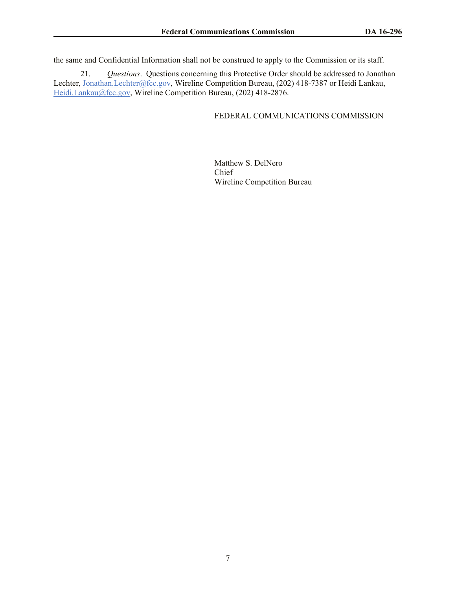the same and Confidential Information shall not be construed to apply to the Commission or its staff.

21. *Questions*. Questions concerning this Protective Order should be addressed to Jonathan Lechter, Jonathan.Lechter@fcc.gov, Wireline Competition Bureau, (202) 418-7387 or Heidi Lankau, Heidi.Lankau@fcc.gov, Wireline Competition Bureau, (202) 418-2876.

# FEDERAL COMMUNICATIONS COMMISSION

Matthew S. DelNero Chief Wireline Competition Bureau